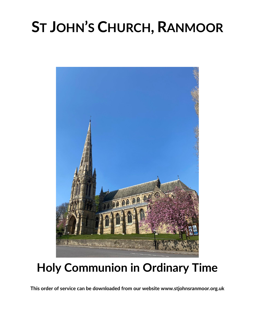# **ST JOHN'S CHURCH, RANMOOR**



### **Holy Communion in Ordinary Time**

**This order of service can be downloaded from our website www.stjohnsranmoor.org.uk**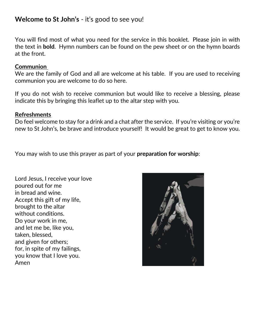#### **Welcome to St John's** - it's good to see you!

You will find most of what you need for the service in this booklet. Please join in with the text in **bold**. Hymn numbers can be found on the pew sheet or on the hymn boards at the front.

#### **Communion**

We are the family of God and all are welcome at his table. If you are used to receiving communion you are welcome to do so here.

If you do not wish to receive communion but would like to receive a blessing, please indicate this by bringing this leaflet up to the altar step with you.

#### **Refreshments**

Do feel welcome to stay for a drink and a chat after the service. If you're visiting or you're new to St John's, be brave and introduce yourself! It would be great to get to know you.

You may wish to use this prayer as part of your **preparation for worship**:

Lord Jesus, I receive your love poured out for me in bread and wine. Accept this gift of my life, brought to the altar without conditions. Do your work in me, and let me be, like you, taken, blessed, and given for others; for, in spite of my failings, you know that I love you. Amen

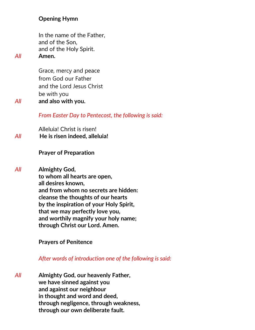#### **Opening Hymn**

In the name of the Father, and of the Son, and of the Holy Spirit. *All* **Amen.**

Grace, mercy and peace from God our Father and the Lord Jesus Christ be with you *All* **and also with you.**

*From Easter Day to Pentecost, the following is said:*

Alleluia! Christ is risen! *All* **He is risen indeed, alleluia!**

#### **Prayer of Preparation**

*All* **Almighty God, to whom all hearts are open, all desires known, and from whom no secrets are hidden: cleanse the thoughts of our hearts by the inspiration of your Holy Spirit, that we may perfectly love you, and worthily magnify your holy name; through Christ our Lord. Amen.**

**Prayers of Penitence**

*After words of introduction one of the following is said:*

*All* **Almighty God, our heavenly Father, we have sinned against you and against our neighbour in thought and word and deed, through negligence, through weakness, through our own deliberate fault.**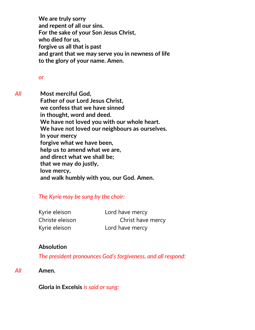**We are truly sorry and repent of all our sins. For the sake of your Son Jesus Christ, who died for us, forgive us all that is past and grant that we may serve you in newness of life to the glory of your name. Amen.** 

#### *or*

*All* **Most merciful God, Father of our Lord Jesus Christ, we confess that we have sinned in thought, word and deed. We have not loved you with our whole heart. We have not loved our neighbours as ourselves. In your mercy forgive what we have been, help us to amend what we are, and direct what we shall be; that we may do justly, love mercy, and walk humbly with you, our God. Amen.**

#### *The Kyrie may be sung by the choir:*

Kyrie eleison Lord have mercy Kyrie eleison Lord have mercy

Christe eleison Christ have mercy

#### **Absolution**

*The president pronounces God's forgiveness, and all respond:*

*All* **Amen.**

**Gloria in Excelsis** *is said or sung:*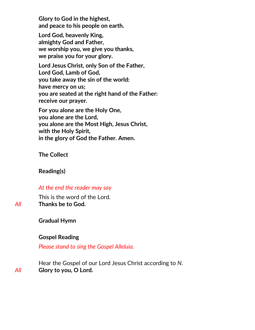**Glory to God in the highest, and peace to his people on earth.**

**Lord God, heavenly King, almighty God and Father, we worship you, we give you thanks, we praise you for your glory.**

**Lord Jesus Christ, only Son of the Father, Lord God, Lamb of God, you take away the sin of the world: have mercy on us; you are seated at the right hand of the Father: receive our prayer.**

**For you alone are the Holy One, you alone are the Lord, you alone are the Most High, Jesus Christ, with the Holy Spirit, in the glory of God the Father. Amen.**

**The Collect**

**Reading(s)**

#### *At the end the reader may say*

This is the word of the Lord. *All* **Thanks be to God.**

**Gradual Hymn** 

#### **Gospel Reading**

*Please stand to sing the Gospel Alleluia.* 

Hear the Gospel of our Lord Jesus Christ according to *N*. *All* **Glory to you, O Lord.**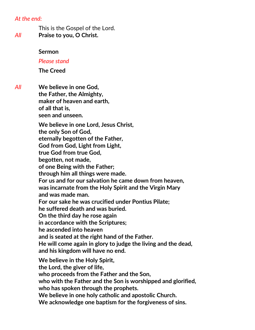#### *At the end:*

This is the Gospel of the Lord. *All* **Praise to you, O Christ.**

#### **Sermon**

#### *Please stand*

**The Creed**

*All* **We believe in one God, the Father, the Almighty, maker of heaven and earth, of all that is, seen and unseen.** 

> **We believe in one Lord, Jesus Christ, the only Son of God, eternally begotten of the Father, God from God, Light from Light, true God from true God, begotten, not made, of one Being with the Father; through him all things were made. For us and for our salvation he came down from heaven, was incarnate from the Holy Spirit and the Virgin Mary and was made man. For our sake he was crucified under Pontius Pilate; he suffered death and was buried. On the third day he rose again in accordance with the Scriptures; he ascended into heaven and is seated at the right hand of the Father. He will come again in glory to judge the living and the dead, and his kingdom will have no end. We believe in the Holy Spirit, the Lord, the giver of life, who proceeds from the Father and the Son,**

**who with the Father and the Son is worshipped and glorified, who has spoken through the prophets.**

**We believe in one holy catholic and apostolic Church.**

**We acknowledge one baptism for the forgiveness of sins.**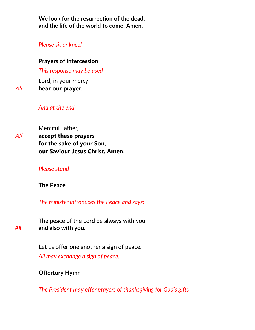**We look for the resurrection of the dead, and the life of the world to come. Amen.** 

#### *Please sit or kneel*

#### **Prayers of Intercession**

*This response may be used*

Lord, in your mercy

All **hear our prayer.**

#### *And at the end:*

Merciful Father,

All **accept these prayers for the sake of your Son, our Saviour Jesus Christ. Amen.**

#### *Please stand*

**The Peace**

*The minister introduces the Peace and says:*

The peace of the Lord be always with you *All* **and also with you.**

> Let us offer one another a sign of peace. *All may exchange a sign of peace.*

#### **Offertory Hymn**

*The President may offer prayers of thanksgiving for God's gifts*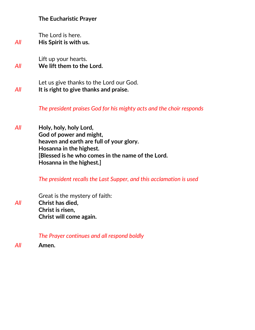#### **The Eucharistic Prayer**

The Lord is here. *All* **His Spirit is with us.**

Lift up your hearts. *All* **We lift them to the Lord.**

Let us give thanks to the Lord our God. *All* **It is right to give thanks and praise.**

*The president praises God for his mighty acts and the choir responds*

*All* **Holy, holy, holy Lord, God of power and might, heaven and earth are full of your glory. Hosanna in the highest. [Blessed is he who comes in the name of the Lord. Hosanna in the highest.]**

*The president recalls the Last Supper, and this acclamation is used* 

Great is the mystery of faith: *All* **Christ has died, Christ is risen, Christ will come again.**

*The Prayer continues and all respond boldly* 

*All* **Amen.**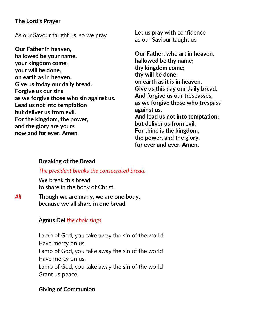#### **The Lord's Prayer**

As our Savour taught us, so we pray

**Our Father in heaven, hallowed be your name, your kingdom come, your will be done, on earth as in heaven. Give us today our daily bread. Forgive us our sins as we forgive those who sin against us. Lead us not into temptation but deliver us from evil. For the kingdom, the power, and the glory are yours now and for ever. Amen.**

Let us pray with confidence as our Saviour taught us

**Our Father, who art in heaven, hallowed be thy name; thy kingdom come; thy will be done; on earth as it is in heaven. Give us this day our daily bread. And forgive us our trespasses, as we forgive those who trespass against us. And lead us not into temptation; but deliver us from evil. For thine is the kingdom, the power, and the glory. for ever and ever. Amen.** 

#### **Breaking of the Bread**

#### *The president breaks the consecrated bread.*

We break this bread to share in the body of Christ.

*All* **Though we are many, we are one body, because we all share in one bread.**

#### **Agnus Dei** *the choir sings*

Lamb of God, you take away the sin of the world Have mercy on us. Lamb of God, you take away the sin of the world Have mercy on us. Lamb of God, you take away the sin of the world Grant us peace.

#### **Giving of Communion**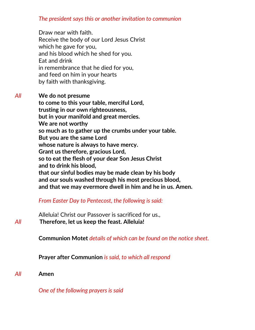#### *The president says this or another invitation to communion*

Draw near with faith. Receive the body of our Lord Jesus Christ which he gave for you, and his blood which he shed for you. Eat and drink in remembrance that he died for you, and feed on him in your hearts by faith with thanksgiving.

*All* **We do not presume to come to this your table, merciful Lord, trusting in our own righteousness, but in your manifold and great mercies. We are not worthy so much as to gather up the crumbs under your table. But you are the same Lord whose nature is always to have mercy. Grant us therefore, gracious Lord, so to eat the flesh of your dear Son Jesus Christ and to drink his blood, that our sinful bodies may be made clean by his body and our souls washed through his most precious blood, and that we may evermore dwell in him and he in us. Amen.**

#### *From Easter Day to Pentecost, the following is said:*

Alleluia! Christ our Passover is sacrificed for us., *All* **Therefore, let us keep the feast. Alleluia!**

**Communion Motet** *details of which can be found on the notice sheet.*

**Prayer after Communion** *is said, to which all respond*

*All* **Amen**

*One of the following prayers is said*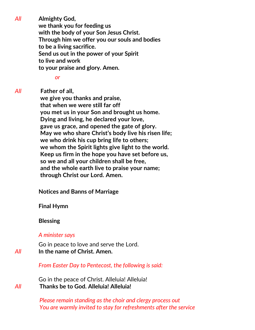*All* **Almighty God, we thank you for feeding us with the body of your Son Jesus Christ. Through him we offer you our souls and bodies to be a living sacrifice. Send us out in the power of your Spirit to live and work to your praise and glory. Amen.**

*or*

*All* **Father of all,**

 **we give you thanks and praise, that when we were still far off you met us in your Son and brought us home. Dying and living, he declared your love, gave us grace, and opened the gate of glory. May we who share Christ's body live his risen life; we who drink his cup bring life to others; we whom the Spirit lights give light to the world. Keep us firm in the hope you have set before us, so we and all your children shall be free, and the whole earth live to praise your name; through Christ our Lord. Amen.**

**Notices and Banns of Marriage**

**Final Hymn**

#### **Blessing**

#### *A minister says*

Go in peace to love and serve the Lord. *All* **In the name of Christ. Amen.**

*From Easter Day to Pentecost, the following is said:*

Go in the peace of Christ. Alleluia! Alleluia! *All* **Thanks be to God. Alleluia! Alleluia!**

> *Please remain standing as the choir and clergy process out You are warmly invited to stay for refreshments after the service*